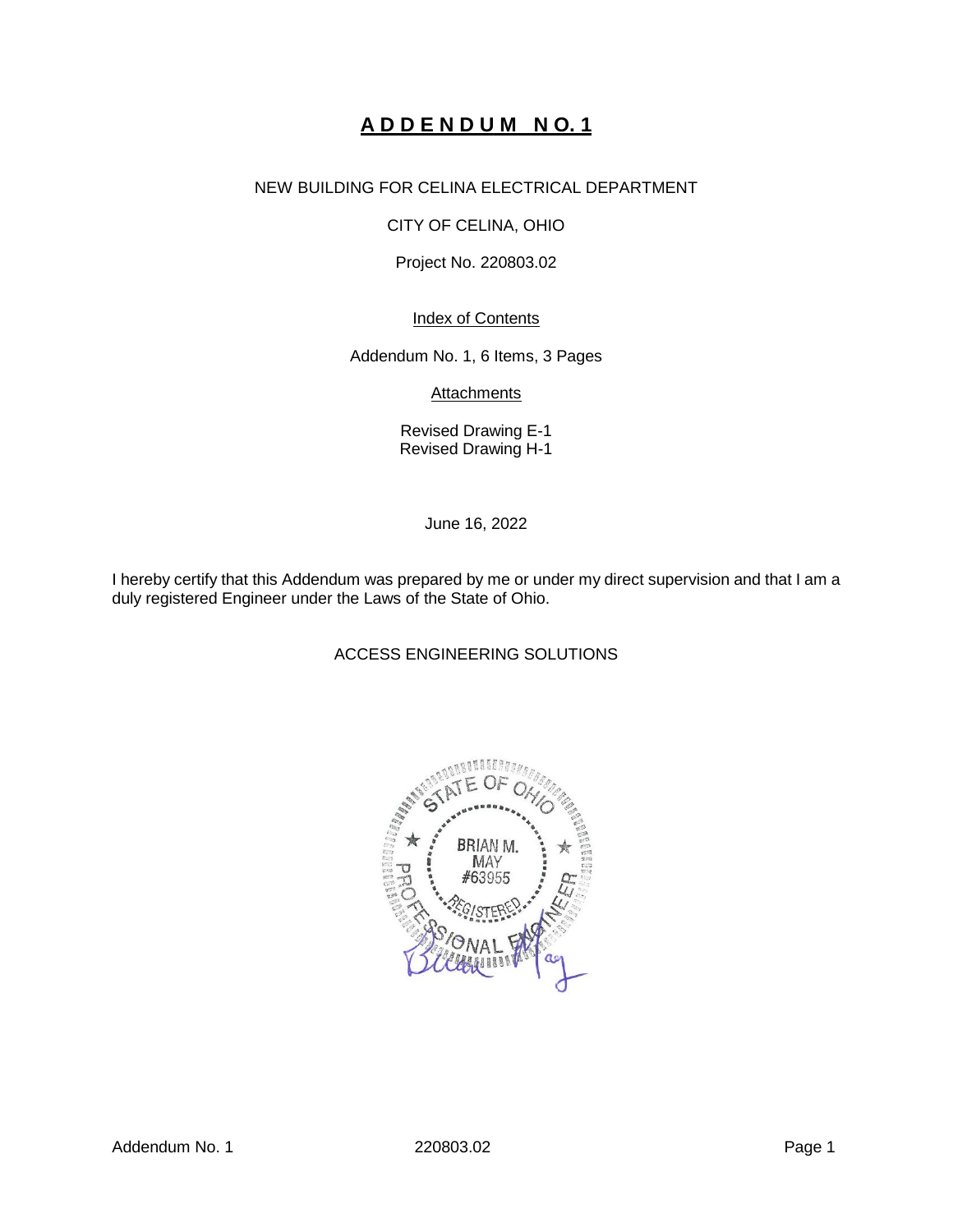# **A D D E N D U M N O. 1**

# NEW BUILDING FOR CELINA ELECTRICAL DEPARTMENT

# CITY OF CELINA, OHIO

# Project No. 220803.02

# Index of Contents

Addendum No. 1, 6 Items, 3 Pages

**Attachments** 

Revised Drawing E-1 Revised Drawing H-1

June 16, 2022

I hereby certify that this Addendum was prepared by me or under my direct supervision and that I am a duly registered Engineer under the Laws of the State of Ohio.

# ACCESS ENGINEERING SOLUTIONS

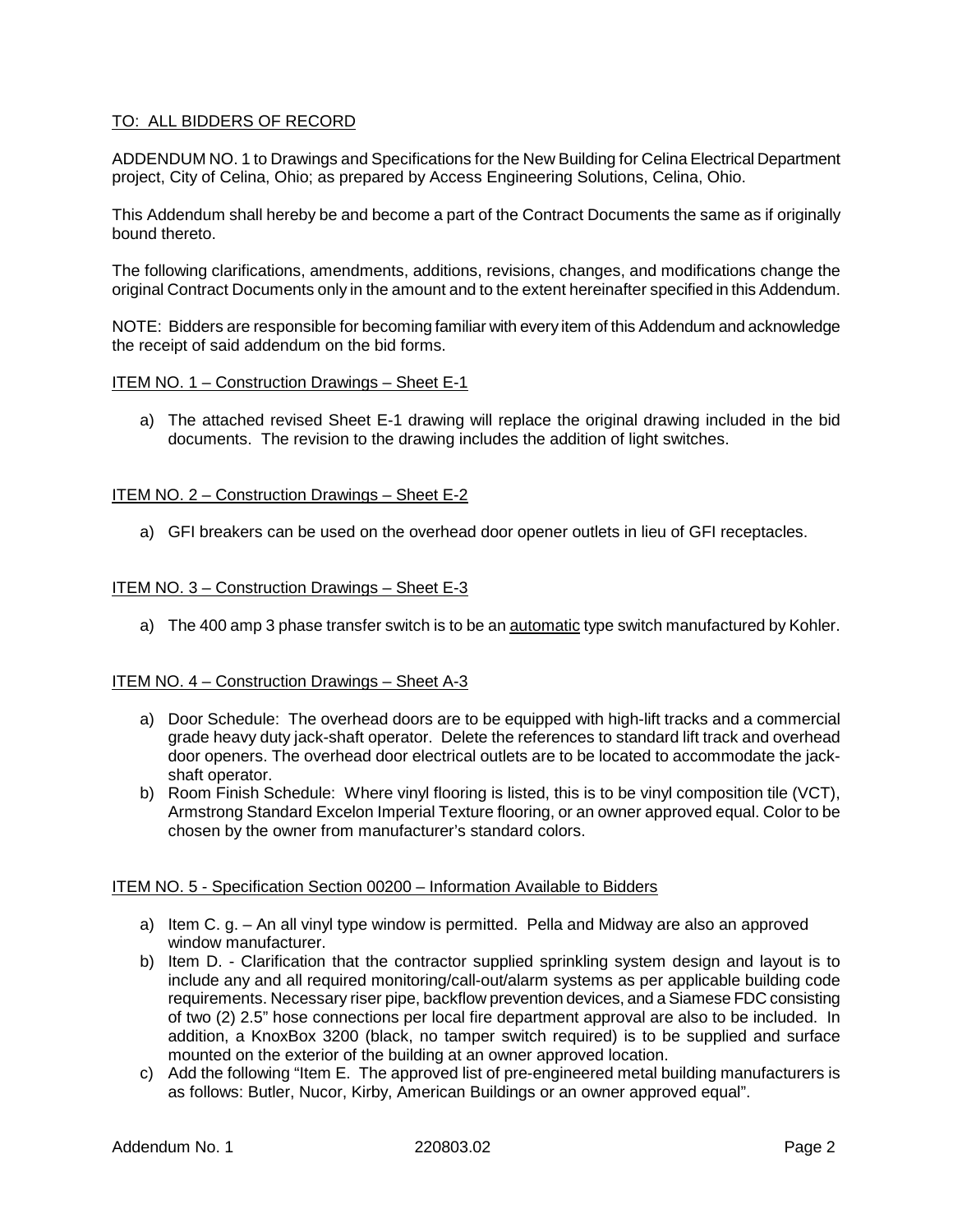# TO: ALL BIDDERS OF RECORD

ADDENDUM NO. 1 to Drawings and Specifications for the New Building for Celina Electrical Department project, City of Celina, Ohio; as prepared by Access Engineering Solutions, Celina, Ohio.

This Addendum shall hereby be and become a part of the Contract Documents the same as if originally bound thereto.

The following clarifications, amendments, additions, revisions, changes, and modifications change the original Contract Documents only in the amount and to the extent hereinafter specified in this Addendum.

NOTE: Bidders are responsible for becoming familiar with every item of this Addendum and acknowledge the receipt of said addendum on the bid forms.

#### ITEM NO. 1 – Construction Drawings – Sheet E-1

a) The attached revised Sheet E-1 drawing will replace the original drawing included in the bid documents. The revision to the drawing includes the addition of light switches.

#### ITEM NO. 2 – Construction Drawings – Sheet E-2

a) GFI breakers can be used on the overhead door opener outlets in lieu of GFI receptacles.

#### ITEM NO. 3 – Construction Drawings – Sheet E-3

a) The 400 amp 3 phase transfer switch is to be an automatic type switch manufactured by Kohler.

#### ITEM NO. 4 – Construction Drawings – Sheet A-3

- a) Door Schedule: The overhead doors are to be equipped with high-lift tracks and a commercial grade heavy duty jack-shaft operator. Delete the references to standard lift track and overhead door openers. The overhead door electrical outlets are to be located to accommodate the jackshaft operator.
- b) Room Finish Schedule: Where vinyl flooring is listed, this is to be vinyl composition tile (VCT), Armstrong Standard Excelon Imperial Texture flooring, or an owner approved equal. Color to be chosen by the owner from manufacturer's standard colors.

#### ITEM NO. 5 - Specification Section 00200 – Information Available to Bidders

- a) Item C. g. An all vinyl type window is permitted. Pella and Midway are also an approved window manufacturer.
- b) Item D. Clarification that the contractor supplied sprinkling system design and layout is to include any and all required monitoring/call-out/alarm systems as per applicable building code requirements. Necessary riser pipe, backflow prevention devices, and a Siamese FDC consisting of two (2) 2.5" hose connections per local fire department approval are also to be included. In addition, a KnoxBox 3200 (black, no tamper switch required) is to be supplied and surface mounted on the exterior of the building at an owner approved location.
- c) Add the following "Item E. The approved list of pre-engineered metal building manufacturers is as follows: Butler, Nucor, Kirby, American Buildings or an owner approved equal".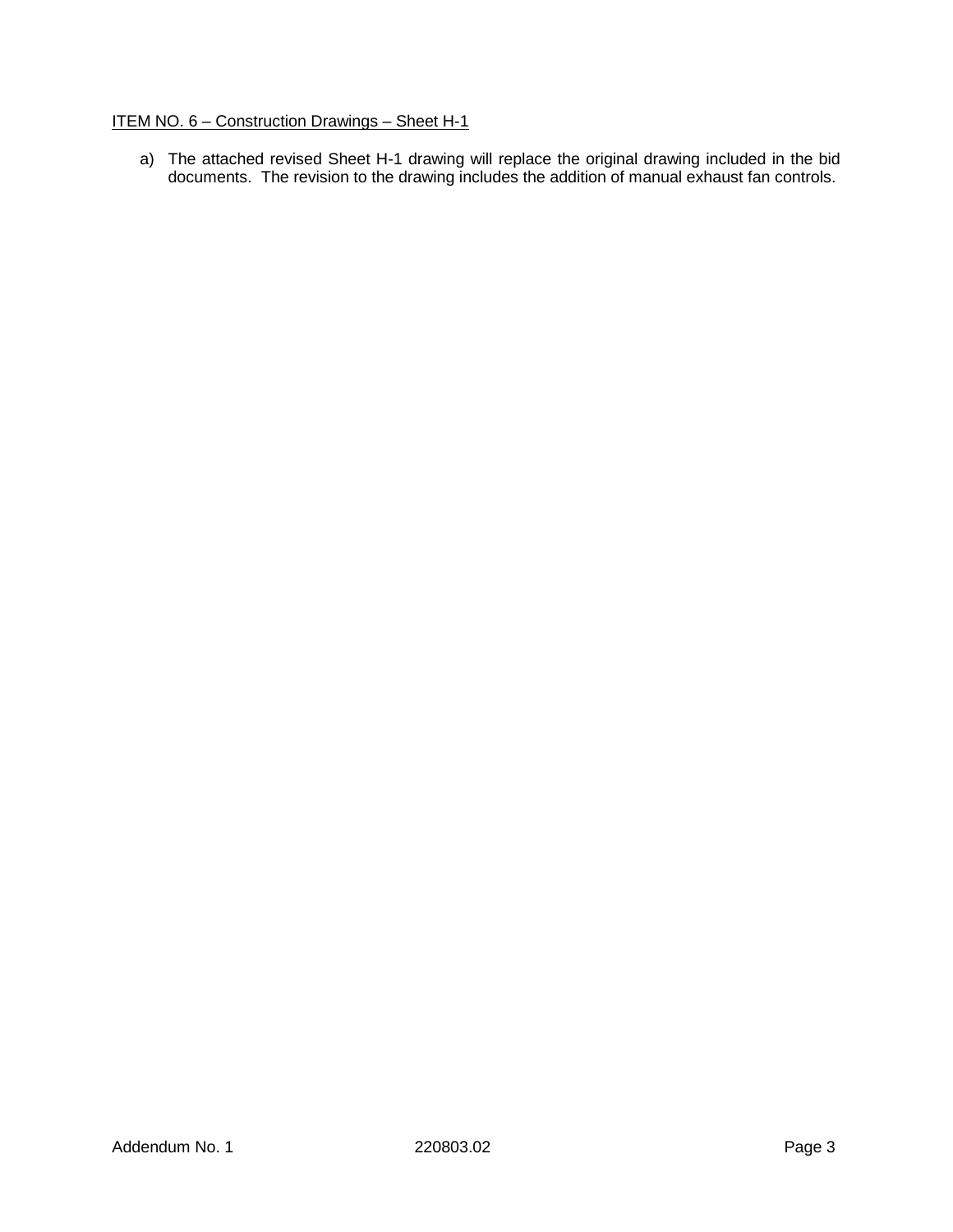# ITEM NO. 6 – Construction Drawings – Sheet H-1

a) The attached revised Sheet H-1 drawing will replace the original drawing included in the bid documents. The revision to the drawing includes the addition of manual exhaust fan controls.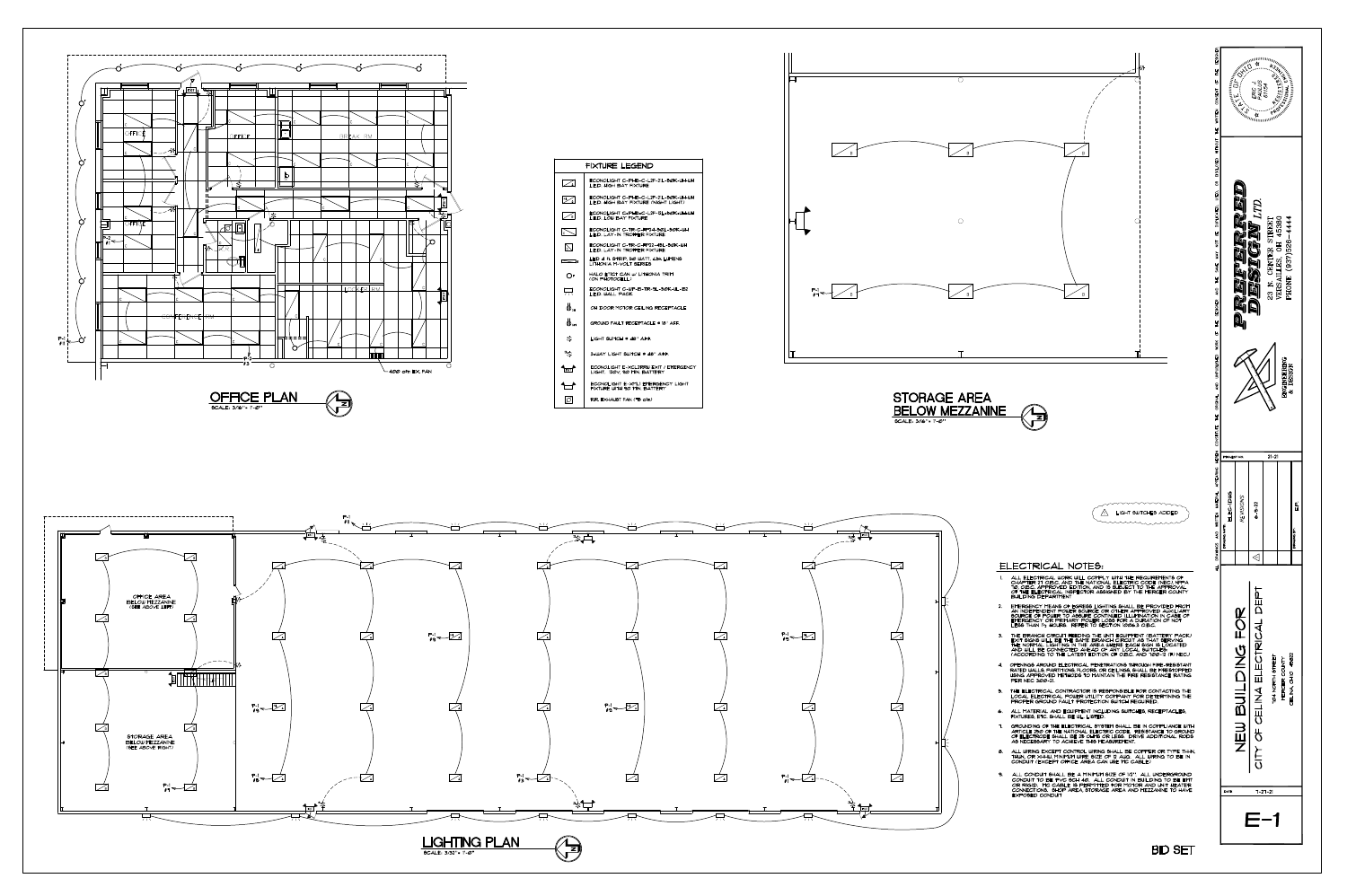











**BID SET**